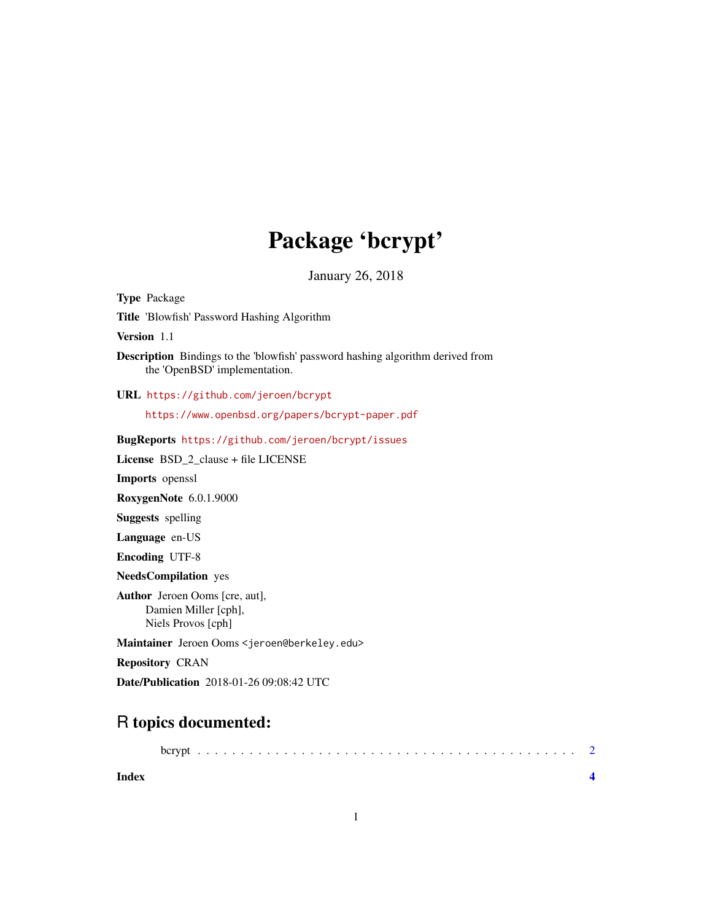# Package 'bcrypt'

January 26, 2018

Type Package Title 'Blowfish' Password Hashing Algorithm Version 1.1 Description Bindings to the 'blowfish' password hashing algorithm derived from the 'OpenBSD' implementation. URL <https://github.com/jeroen/bcrypt> <https://www.openbsd.org/papers/bcrypt-paper.pdf> BugReports <https://github.com/jeroen/bcrypt/issues> License BSD\_2\_clause + file LICENSE Imports openssl RoxygenNote 6.0.1.9000 Suggests spelling Language en-US Encoding UTF-8 NeedsCompilation yes Author Jeroen Ooms [cre, aut], Damien Miller [cph], Niels Provos [cph] Maintainer Jeroen Ooms <jeroen@berkeley.edu> Repository CRAN Date/Publication 2018-01-26 09:08:42 UTC

## R topics documented:

| Index |  |  |  |  |  |  |  |  |  |  |  |  |  |  |  |  |  |  |  |  |
|-------|--|--|--|--|--|--|--|--|--|--|--|--|--|--|--|--|--|--|--|--|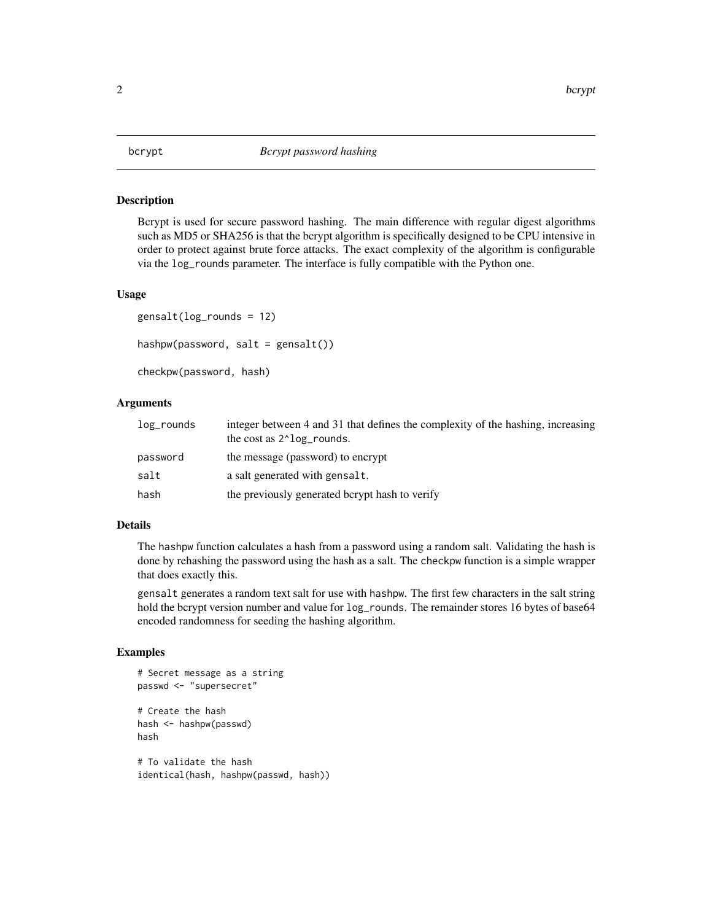#### <span id="page-1-0"></span>Description

Bcrypt is used for secure password hashing. The main difference with regular digest algorithms such as MD5 or SHA256 is that the bcrypt algorithm is specifically designed to be CPU intensive in order to protect against brute force attacks. The exact complexity of the algorithm is configurable via the log\_rounds parameter. The interface is fully compatible with the Python one.

#### Usage

```
gensalt(log_rounds = 12)
hashpw(password, salt = gensalt())checkpw(password, hash)
```
#### Arguments

| log_rounds | integer between 4 and 31 that defines the complexity of the hashing, increasing<br>the cost as $2^{\lambda}$ log_rounds. |
|------------|--------------------------------------------------------------------------------------------------------------------------|
| password   | the message (password) to encrypt                                                                                        |
| salt       | a salt generated with gensalt.                                                                                           |
| hash       | the previously generated berypt hash to verify                                                                           |

#### Details

The hashpw function calculates a hash from a password using a random salt. Validating the hash is done by rehashing the password using the hash as a salt. The checkpw function is a simple wrapper that does exactly this.

gensalt generates a random text salt for use with hashpw. The first few characters in the salt string hold the bcrypt version number and value for  $log_{10}$  rounds. The remainder stores 16 bytes of base64 encoded randomness for seeding the hashing algorithm.

#### Examples

```
# Secret message as a string
passwd <- "supersecret"
# Create the hash
hash <- hashpw(passwd)
hash
# To validate the hash
identical(hash, hashpw(passwd, hash))
```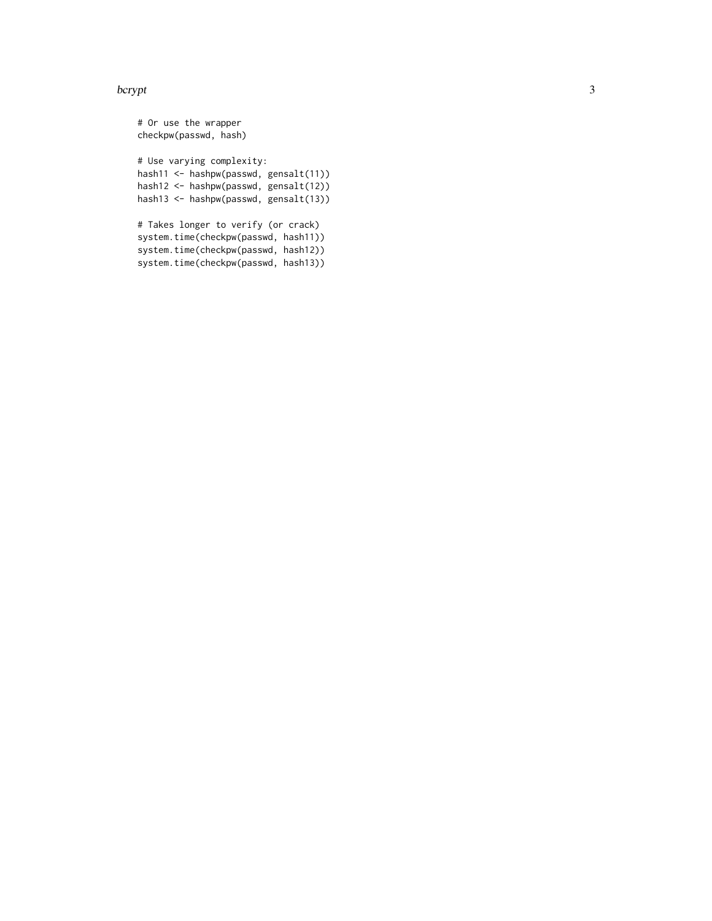### bcrypt

# Or use the wrapper checkpw(passwd, hash) # Use varying complexity: hash11 <- hashpw(passwd, gensalt(11)) hash12 <- hashpw(passwd, gensalt(12)) hash13 <- hashpw(passwd, gensalt(13)) # Takes longer to verify (or crack) system.time(checkpw(passwd, hash11)) system.time(checkpw(passwd, hash12)) system.time(checkpw(passwd, hash13))